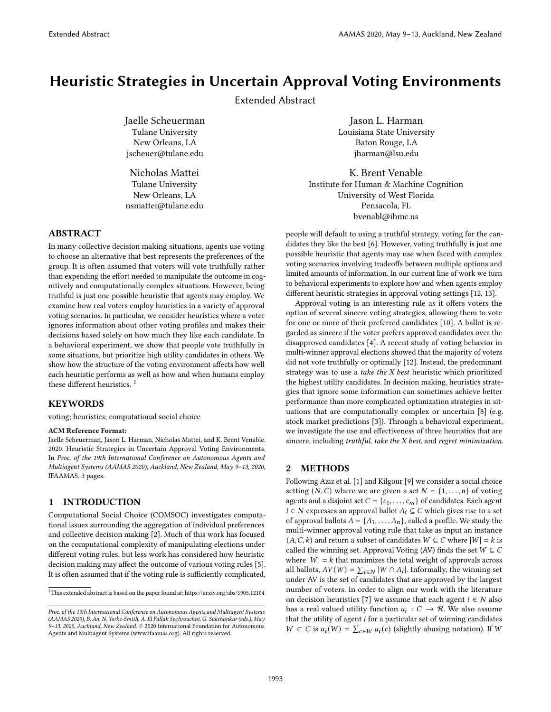# Heuristic Strategies in Uncertain Approval Voting Environments

Extended Abstract

Jaelle Scheuerman Tulane University New Orleans, LA jscheuer@tulane.edu

Nicholas Mattei Tulane University New Orleans, LA nsmattei@tulane.edu

## ABSTRACT

In many collective decision making situations, agents use voting to choose an alternative that best represents the preferences of the group. It is often assumed that voters will vote truthfully rather than expending the effort needed to manipulate the outcome in cognitively and computationally complex situations. However, being truthful is just one possible heuristic that agents may employ. We examine how real voters employ heuristics in a variety of approval voting scenarios. In particular, we consider heuristics where a voter ignores information about other voting profiles and makes their decisions based solely on how much they like each candidate. In a behavioral experiment, we show that people vote truthfully in some situations, but prioritize high utility candidates in others. We show how the structure of the voting environment affects how well each heuristic performs as well as how and when humans employ these different heuristics. [1](#page-0-0)

### KEYWORDS

voting; heuristics; computational social choice

#### ACM Reference Format:

Jaelle Scheuerman, Jason L. Harman, Nicholas Mattei, and K. Brent Venable. 2020. Heuristic Strategies in Uncertain Approval Voting Environments. In Proc. of the 19th International Conference on Autonomous Agents and Multiagent Systems (AAMAS 2020), Auckland, New Zealand, May 9–13, 2020, IFAAMAS, [3](#page-2-0) pages.

## 1 INTRODUCTION

Computational Social Choice (COMSOC) investigates computational issues surrounding the aggregation of individual preferences and collective decision making [\[2\]](#page-2-1). Much of this work has focused on the computational complexity of manipulating elections under different voting rules, but less work has considered how heuristic decision making may affect the outcome of various voting rules [\[5\]](#page-2-2). It is often assumed that if the voting rule is sufficiently complicated,

Jason L. Harman Louisiana State University Baton Rouge, LA jharman@lsu.edu

K. Brent Venable Institute for Human & Machine Cognition University of West Florida Pensacola, FL bvenabl@ihmc.us

people will default to using a truthful strategy, voting for the candidates they like the best [\[6\]](#page-2-3). However, voting truthfully is just one possible heuristic that agents may use when faced with complex voting scenarios involving tradeoffs between multiple options and limited amounts of information. In our current line of work we turn to behavioral experiments to explore how and when agents employ different heuristic strategies in approval voting settings [\[12,](#page-2-4) [13\]](#page-2-5).

Approval voting is an interesting rule as it offers voters the option of several sincere voting strategies, allowing them to vote for one or more of their preferred candidates [\[10\]](#page-2-6). A ballot is regarded as sincere if the voter prefers approved candidates over the disapproved candidates [\[4\]](#page-2-7). A recent study of voting behavior in multi-winner approval elections showed that the majority of voters did not vote truthfully or optimally [\[12\]](#page-2-4). Instead, the predominant strategy was to use a *take the X best* heuristic which prioritized the highest utility candidates. In decision making, heuristics strategies that ignore some information can sometimes achieve better performance than more complicated optimization strategies in situations that are computationally complex or uncertain [\[8\]](#page-2-8) (e.g. stock market predictions [\[3\]](#page-2-9)). Through a behavioral experiment, we investigate the use and effectiveness of three heuristics that are sincere, including truthful, take the X best, and regret minimization.

### 2 METHODS

Following Aziz et al. [\[1\]](#page-2-10) and Kilgour [\[9\]](#page-2-11) we consider a social choice setting  $(N, C)$  where we are given a set  $N = \{1, \ldots, n\}$  of voting agents and a disjoint set  $C = \{c_1, \ldots, c_m\}$  of candidates. Each agent  $i \in N$  expresses an approval ballot  $A_i \subseteq C$  which gives rise to a set of approval ballots  $A = \{A_1, \ldots, A_n\}$ , called a profile. We study the multi-winner approval voting rule that take as input an instance  $(A, C, k)$  and return a subset of candidates  $W \subseteq C$  where  $|W| = k$  is called the winning set. Approval Voting (AV) finds the set  $W \subseteq C$ where  $|W| = k$  that maximizes the total weight of approvals across all ballots,  $AV(W) = \sum_{i \in N} |W \cap A_i|$ . Informally, the winning set under AV is the set of candidates that are approved by the largest number of voters. In order to align our work with the literature on decision heuristics [\[7\]](#page-2-12) we assume that each agent  $i \in N$  also has a real valued utility function  $u_i : C \rightarrow \mathcal{R}$ . We also assume that the utility of agent  $i$  for a particular set of winning candidates *W* ⊂ *C* is  $u_i(W) = \sum_{c \in W} u_i(c)$  (slightly abusing notation). If *W* 

<span id="page-0-0"></span> $^{\rm 1}$  This extended abstract is based on the paper found at: https://arxiv.org/abs/1905.12104

Proc. of the 19th International Conference on Autonomous Agents and Multiagent Systems (AAMAS 2020), B. An, N. Yorke-Smith, A. El Fallah Seghrouchni, G. Sukthankar (eds.), May 9–13, 2020, Auckland, New Zealand. © 2020 International Foundation for Autonomous Agents and Multiagent Systems (www.ifaamas.org). All rights reserved.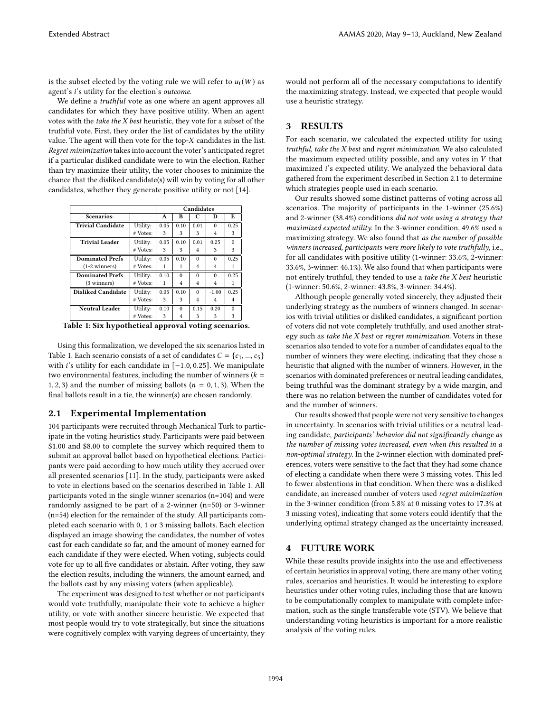is the subset elected by the voting rule we will refer to  $u_i(W)$  as agent's *i*'s utility for the election's *outcome*.

We define a *truthful* vote as one where an agent approves all candidates for which they have positive utility. When an agent votes with the take the X best heuristic, they vote for a subset of the truthful vote. First, they order the list of candidates by the utility value. The agent will then vote for the top- $X$  candidates in the list. Regret minimization takes into account the voter's anticipated regret if a particular disliked candidate were to win the election. Rather than try maximize their utility, the voter chooses to minimize the chance that the disliked candidate(s) will win by voting for all other candidates, whether they generate positive utility or not [\[14\]](#page-2-13).

<span id="page-1-0"></span>

|                           |          | Candidates |          |                |                |          |
|---------------------------|----------|------------|----------|----------------|----------------|----------|
| Scenarios:                |          | A          | в        | C              | D              | E        |
| <b>Trivial Candidate</b>  | Utility: | 0.05       | 0.10     | 0.01           | $\Omega$       | 0.25     |
|                           | # Votes: | 3          | 3        | 3              | 4              | 3        |
| <b>Trivial Leader</b>     | Utility: | 0.05       | 0.10     | 0.01           | 0.25           | $\Omega$ |
|                           | # Votes: | 3          | 3        | 4              | 3              | 3        |
| <b>Dominated Prefs</b>    | Utility: | 0.05       | 0.10     | $\Omega$       | $\Omega$       | 0.25     |
| $(1-2 \text{ winners})$   | # Votes: | 1          | 1        | $\overline{4}$ | 4              |          |
| <b>Dominated Prefs</b>    | Utility: | 0.10       | $\Omega$ | $\Omega$       | $\Omega$       | 0.25     |
| (3 winners)               | # Votes: | 1          | 4        | 4              | 4              |          |
| <b>Disliked Candidate</b> | Utility: | 0.05       | 0.10     | $\Omega$       | $-1.00$        | 0.25     |
|                           | # Votes: | 3          | 3        | $\overline{4}$ | $\overline{4}$ | 4        |
| <b>Neutral Leader</b>     | Utility: | 0.10       | $\theta$ | 0.15           | 0.20           | $\Omega$ |
|                           | # Votes: | 3          | 4        | 3              | 3              | 3        |

Table 1: Six hypothetical approval voting scenarios.

Using this formalization, we developed the six scenarios listed in Table [1.](#page-1-0) Each scenario consists of a set of candidates  $C = \{c_1, ..., c_5\}$ with *i*'s utility for each candidate in [−1.0, 0.25]. We manipulate two environmental features, including the number of winners  $(k =$ 1, 2, 3) and the number of missing ballots ( $n = 0, 1, 3$ ). When the final ballots result in a tie, the winner(s) are chosen randomly.

### <span id="page-1-1"></span>2.1 Experimental Implementation

104 participants were recruited through Mechanical Turk to participate in the voting heuristics study. Participants were paid between \$1.00 and \$8.00 to complete the survey which required them to submit an approval ballot based on hypothetical elections. Participants were paid according to how much utility they accrued over all presented scenarios [\[11\]](#page-2-14). In the study, participants were asked to vote in elections based on the scenarios described in Table [1.](#page-1-0) All participants voted in the single winner scenarios (n=104) and were randomly assigned to be part of a 2-winner (n=50) or 3-winner (n=54) election for the remainder of the study. All participants completed each scenario with 0, 1 or 3 missing ballots. Each election displayed an image showing the candidates, the number of votes cast for each candidate so far, and the amount of money earned for each candidate if they were elected. When voting, subjects could vote for up to all five candidates or abstain. After voting, they saw the election results, including the winners, the amount earned, and the ballots cast by any missing voters (when applicable).

The experiment was designed to test whether or not participants would vote truthfully, manipulate their vote to achieve a higher utility, or vote with another sincere heuristic. We expected that most people would try to vote strategically, but since the situations were cognitively complex with varying degrees of uncertainty, they would not perform all of the necessary computations to identify the maximizing strategy. Instead, we expected that people would use a heuristic strategy.

## 3 RESULTS

For each scenario, we calculated the expected utility for using truthful, take the X best and regret minimization. We also calculated the maximum expected utility possible, and any votes in  $V$  that maximized i's expected utility. We analyzed the behavioral data gathered from the experiment described in Section [2.1](#page-1-1) to determine which strategies people used in each scenario.

Our results showed some distinct patterns of voting across all scenarios. The majority of participants in the 1-winner (25.6%) and 2-winner (38.4%) conditions did not vote using a strategy that maximized expected utility. In the 3-winner condition, 49.6% used a maximizing strategy. We also found that as the number of possible winners increased, participants were more likely to vote truthfully, i.e., for all candidates with positive utility (1-winner: 33.6%, 2-winner: 33.6%, 3-winner: 46.1%). We also found that when participants were not entirely truthful, they tended to use a take the X best heuristic (1-winner: 50.6%, 2-winner: 43.8%, 3-winner: 34.4%).

Although people generally voted sincerely, they adjusted their underlying strategy as the numbers of winners changed. In scenarios with trivial utilities or disliked candidates, a significant portion of voters did not vote completely truthfully, and used another strategy such as take the X best or regret minimization. Voters in these scenarios also tended to vote for a number of candidates equal to the number of winners they were electing, indicating that they chose a heuristic that aligned with the number of winners. However, in the scenarios with dominated preferences or neutral leading candidates, being truthful was the dominant strategy by a wide margin, and there was no relation between the number of candidates voted for and the number of winners.

Our results showed that people were not very sensitive to changes in uncertainty. In scenarios with trivial utilities or a neutral leading candidate, participants' behavior did not significantly change as the number of missing votes increased, even when this resulted in a non-optimal strategy. In the 2-winner election with dominated preferences, voters were sensitive to the fact that they had some chance of electing a candidate when there were 3 missing votes. This led to fewer abstentions in that condition. When there was a disliked candidate, an increased number of voters used regret minimization in the 3-winner condition (from 5.8% at 0 missing votes to 17.3% at 3 missing votes), indicating that some voters could identify that the underlying optimal strategy changed as the uncertainty increased.

## 4 FUTURE WORK

While these results provide insights into the use and effectiveness of certain heuristics in approval voting, there are many other voting rules, scenarios and heuristics. It would be interesting to explore heuristics under other voting rules, including those that are known to be computationally complex to manipulate with complete information, such as the single transferable vote (STV). We believe that understanding voting heuristics is important for a more realistic analysis of the voting rules.